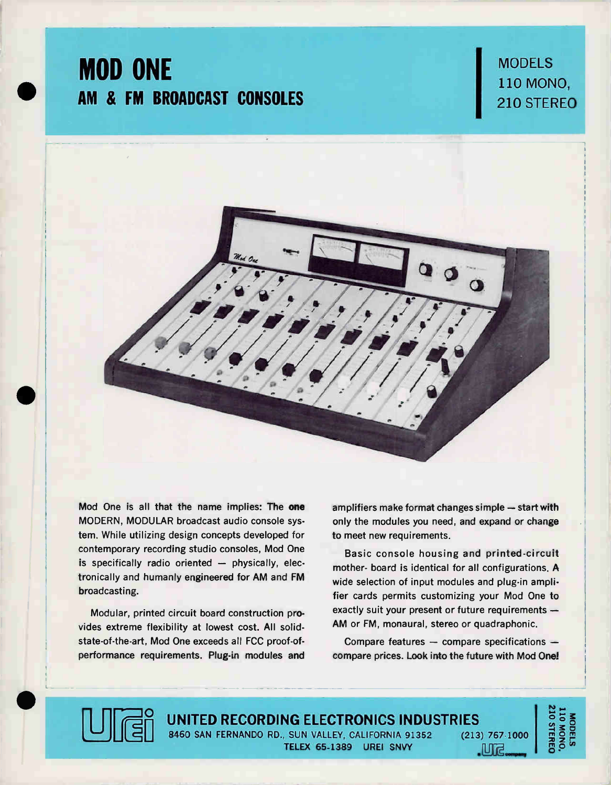# MOD ONE AM & FM BROADCAST CONSOLES

**MODELS** 110 MONE 110 MONO, 210 STEREO



Mod One is all that the name implies: The one MODERN, MODULAR broadcast audio console system. While utilizing design concepts developed for contemporary recording studio consoles, Mod One is specifically radio oriented — physically, electronically and humanly engineered for AM and FM broadcasting.

Modular, printed circuit board construction provides extreme flexibility at lowest cost. All solidstate-of-the-art, Mod One exceeds all FCC proof-ofperformance requirements. Plug-in modules and amplifiers make format changes simple — start with only the modules you need, and expand or change to meet new requirements.

Basic console housing and printed-circuit mother- board is identical for all configurations. A wide selection of input modules and plug-in amplifier cards permits customizing your Mod One to exactly suit your present or future requirements — AM or FM, monaural, stereo or quadraphonic.

Compare features — compare specifications compare prices. Look into the future with Mod One!

 $\Box$  company

**10 STEREC** MODELS<br>LIO MONO,



UNITED RECORDING ELECTRONICS INDUSTRIES<br>
8460 SAN FERNANDO RD., SUN VALLEY, CALIFORNIA 91352 (213) TELEX 65-1389 UREI SNVY (213) 767-1000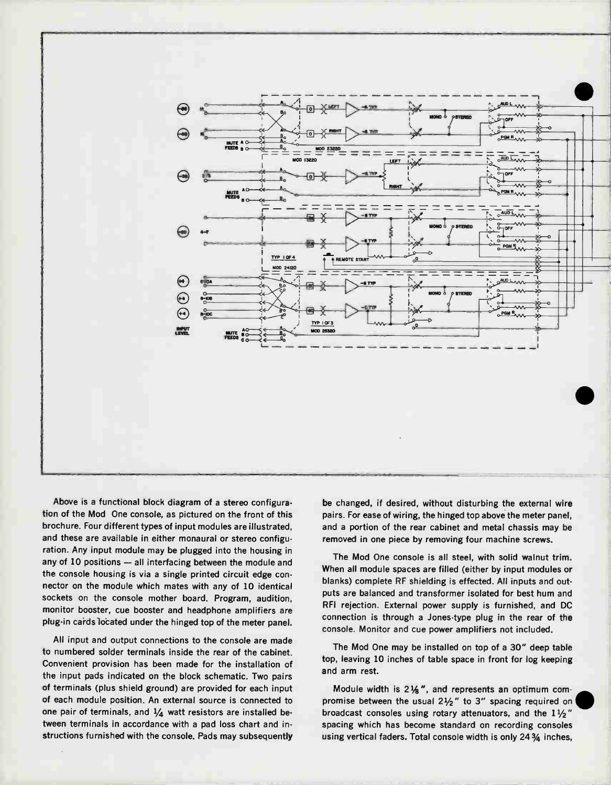

Above is a functional block diagram of a stereo configuration of the Mod One console, as pictured on the front of this brochure. Four different types of input modules are illustrated, and these are available in either monaural or stereo configuration. Any input module may be plugged into the housing in any of 10 positions — all interfacing between the module and the console housing is via a single printed circuit edge connector on the module which mates with any of 10 identical sockets on the console mother board. Program, audition, monitor booster, cue booster and headphone amplifiers are plug-in cards located under the hinged top of the meter panel.

All input and output connections to the console are made to numbered solder terminals inside the rear of the cabinet. Convenient provision has been made for the installation of the input pads indicated on the block schematic. Two pairs of terminals (plus shield ground) are provided for each input of each module position. An external source is connected to one pair of terminals, and  $\frac{1}{4}$  watt resistors are installed between terminals in accordance with a pad loss chart and instructions furnished with the console. Pads may subsequently be changed, if desired, without disturbing the external wire pairs. For ease of wiring, the hinged top above the meter panel, and a portion of the rear cabinet and metal chassis may be removed in one piece by removing four machine screws.

The Mod One console is all steel, with solid walnut trim. When all module spaces are filled (either by input modules or blanks) complete RF shielding is effected. All inputs and outputs are balanced and transformer isolated for best hum and RFI rejection. External power supply is furnished, and DC connection is through a Jones-type plug in the rear of the console. Monitor and cue power amplifiers not included.

The Mod One may be installed on top of a 30" deep table top, leaving 10 inches of table space in front for log keeping and arm rest.

Module width is  $2\frac{1}{8}$ ", and represents an optimum compromise between the usual  $2\frac{1}{2}$ " to 3" spacing required on broadcast consoles using rotary attenuators, and the  $1\frac{1}{2}$ " spacing which has become standard on recording consoles using vertical faders. Total console width is only 24 3/4 inches,

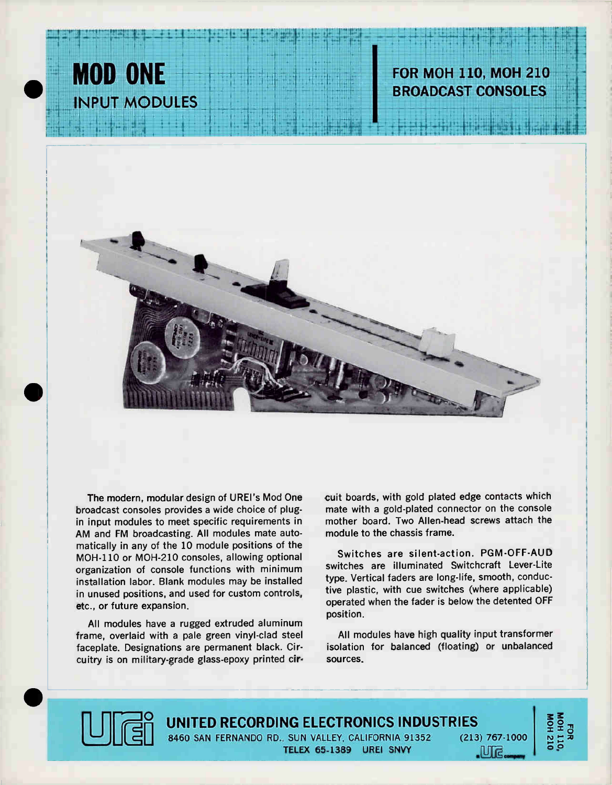

## **FOR MOH 110, MOH 210 BROADCAST CONSOLES**



The modern, modular design of UREI's Mod One broadcast consoles provides a wide choice of plugin input modules to meet specific requirements in AM and FM broadcasting. All modules mate automatically in any of the 10 module positions of the MOH-110 or MOH-210 consoles, allowing optional organization of console functions with minimum installation labor. Blank modules may be installed in unused positions, and used for custom controls, etc., or future expansion.

All modules have a rugged extruded aluminum frame, overlaid with a pale green vinyl-clad steel faceplate. Designations are permanent black. Circuitry is on military-grade glass-epoxy printed circuit boards, with gold plated edge contacts which mate with a gold-plated connector on the console mother board. Two Allen-head screws attach the module to the chassis frame.

Switches are silent-action. PGM-OFF-AUD switches are illuminated Switchcraft Lever-Lite type. Vertical faders are long-life, smooth, conductive plastic, with cue switches (where applicable) operated when the fader is below the detented OFF position.

All modules have high quality input transformer isolation for balanced (floating) or unbalanced sources.



UNITED RECORDING ELECTRONICS INDUSTRIES 8460 SAN FERNANDO RD., SUN VALLEY, CALIFORNIA 91352  $(213)$  767-1000 TELEX 65-1389 UREI SNVY

NOH 110,<br>MOH 110,<br>MOH 210

.iVira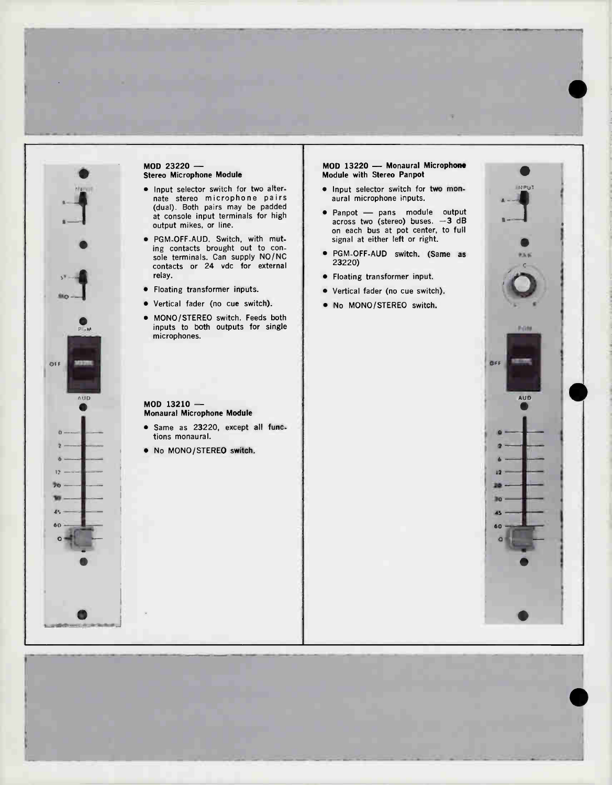

## MOD 23220 — Stereo Microphone Module

- Input selector switch for two alternate stereo microphone pairs (dual). Both pairs may be padded at console input terminals for high output mikes, or line.
- PGM-OFF-AUD. Switch, with muting contacts brought out to console terminals. Can supply NO/NC contacts or 24 vdc for external relay.
- Floating transformer inputs.
- Vertical fader (no cue switch).
- MONO/STEREO switch. Feeds both inputs to both outputs for single microphones.

### MOD 13220 — Monaural Microphone Module with Stereo Panpot

- Input selector switch for two monaural microphone inputs.
- Panpot pans module output across two (stereo) buses.  $-3$  dB on each bus at pot center, to full signal at either left or right.
- PGM-OFF-AUD switch. (Same as 23220)
- Floating transformer input.
- Vertical fader (no cue switch).
- No MONO/STEREO switch.

#### MOD 13210 — Monaural Microphone Module

- Same as 23220, except all functions monaural.
- No MONO/STEREO switch.



 $\bullet$ 

e

**INPUT**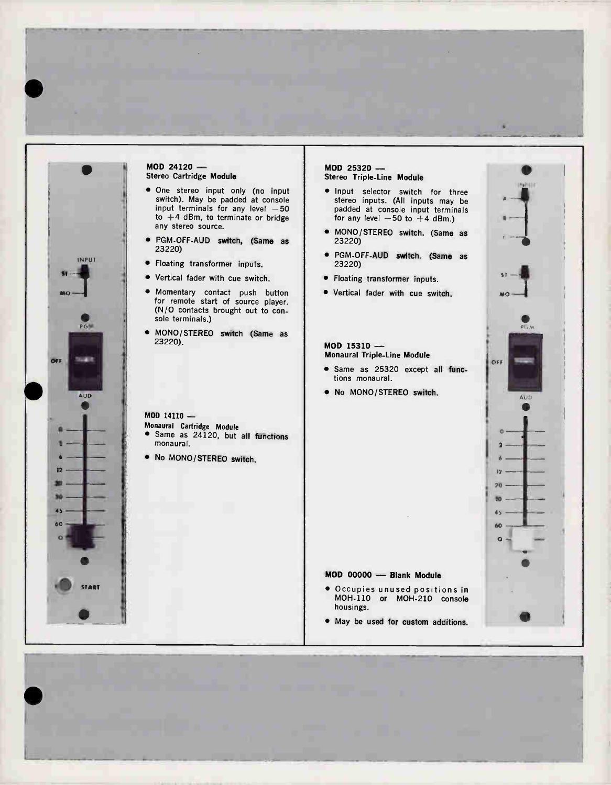

•

## MOD 24120 — Stereo Cartridge Module • One stereo input only (no input switch). May be padded at console input terminals for any level  $-$ 50  $\,$

- to  $+4$  dBm, to terminate or bridge any stereo source. • PGM-OFF-AUD switch, (Same as
- 23220)
- Floating transformer inputs.
- Vertical fader with cue switch.
- Momentary contact push button for remote start of source player. (N/O contacts brought out to console terminals.)
- MONO/STEREO switch (Same as 23220).

MOD 14110 —

- Monaural Cartridge Module
- Same as 24120, but all functions monaural.
- No MONO/STEREO switch.

## MOD 25320 — Stereo Triple-Line Module

- Input selector switch for three stereo inputs. (All inputs may be padded at console input terminals for any level  $-50$  to  $+4$  dBm.)
- MONO/STEREO switch. (Same as 23220)
- PGM-OFF-AUD switch. (Same as 23220)
- Floating transformer inputs.
- Vertical fader with cue switch.

#### MOD 15310 — Monaural Triple-Line Module

- Same as 25320 except all functions monaural.
- No MONO/STEREO switch.

## MOD 00000 — Blank Module

- Occupies unused positions in MOH-110 or MOH-210 console housings.
- May be used for custom additions.



e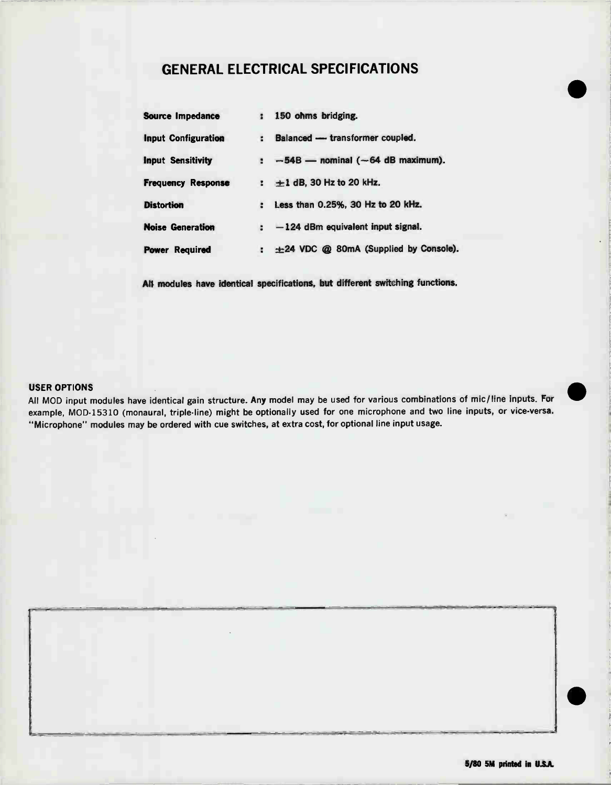## GENERAL ELECTRICAL SPECIFICATIONS

| <b>Source Impedance</b>    | 1 150 ohms bridging.                              |
|----------------------------|---------------------------------------------------|
| <b>Input Configuration</b> | Balanced - transformer coupled.<br>÷.             |
| <b>Input Sensitivity</b>   | $\pm$ -54B - nominal (-64 dB maximum).            |
| <b>Frequency Response</b>  | $\pm 1$ dB, 30 Hz to 20 kHz.                      |
| <b>Distortion</b>          | Less than 0.25%, 30 Hz to 20 kHz.<br>$\mathbf{z}$ |
| <b>Noise Generation</b>    | $\div$ -124 dBm equivalent input signal.          |
| <b>Power Required</b>      | $\pm 24$ VDC @ 80mA (Supplied by Console).<br>ă.  |

All modules have identical specifications, but different switching functions.

## USER OPTIONS

All MOD input modules have identical gain structure. Any model may be used for various combinations of mic/line inputs. For example, MOD-15310 (monaural, triple-line) might be optionally used for one microphone and two line inputs, or vice-versa. "Microphone" modules may be ordered with cue switches, at extra cost, for optional line input usage.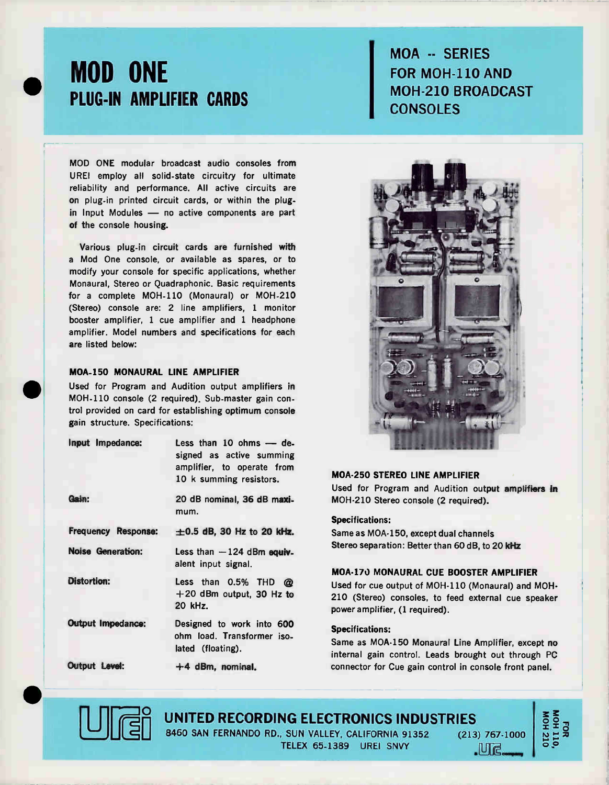

# MOD ONE PLUG-IN AMPLIFIER CARDS

MOD ONE modular broadcast audio consoles from UREI employ all solid-state circuitry for ultimate reliability and performance. All active circuits are on plug-in printed circuit cards, or within the plugin Input Modules — no active components are part of the console housing.

Various plug-in circuit cards are furnished with a Mod One console, or available as spares, or to modify your console for specific applications, whether Monaural, Stereo or Quadraphonic. Basic requirements for a complete MOH-110 (Monaural) or MOH-210 (Stereo) console are: 2 line amplifiers, 1 monitor booster amplifier, 1 cue amplifier and 1 headphone amplifier. Model numbers and specifications for each are listed below:

## MOA-150 MONAURAL LINE AMPLIFIER

Used for Program and Audition output amplifiers in MOH-110 console (2 required). Sub-master gain control provided on card for establishing optimum console gain structure. Specifications:

| Input Impedance:           | Less than $10$ ohms $-$ de-<br>signed as active summing<br>amplifier, to operate from<br>10 k summing resistors. |  |
|----------------------------|------------------------------------------------------------------------------------------------------------------|--|
| Gain:                      | 20 dB nominal, 36 dB maxi-<br>mum.                                                                               |  |
| <b>Frequency Response:</b> | $\pm 0.5$ dB, 30 Hz to 20 kHz.                                                                                   |  |
| Noise Generation:          | Less than $-124$ dBm equiv-<br>alent input signal.                                                               |  |
| <b>Distortion:</b>         | Less than 0.5% THD @<br>$+20$ dBm output, 30 Hz to<br>20 kHz.                                                    |  |
| <b>Output Impedance:</b>   | Designed to work into 600<br>ohm load. Transformer iso-<br>lated (floating).                                     |  |
| Output Level:              | $+4$ dBm, nominal.                                                                                               |  |

# MOA -- SERIEST FOR MOH-110 AND MOH-210 BROADCAST **CONSOLES**



## MOA-250 STEREO LINE AMPLIFIER

Used for Program and Audition output amplifiers in MOH-210 Stereo console (2 required).

## Specifications:

Same as MOA-150, except dual channels Stereo separation: Better than 60 dB, to 20 kHz

## MOA-170 MONAURAL CUE BOOSTER AMPLIFIER

Used for cue output of MOH-110 (Monaural) and MOH-210 (Stereo) consoles, to feed external cue speaker power amplifier, (1 required).

## Specifications:

Same as MOA-150 Monaural Line Amplifier, except no internal gain control. Leads brought out through PC connector for Cue gain control in console front panel.



**UNITED RECORDING ELECTRONICS INDUSTRIES** 8460 SAN FERNANDO RD., SUN VALLEY, CALIFORNIA 91352 (213) 767-1000

TELEX 65-1389 UREI SNVY

• MÊ company

FOR<br>MOH 110,<br>MOH 210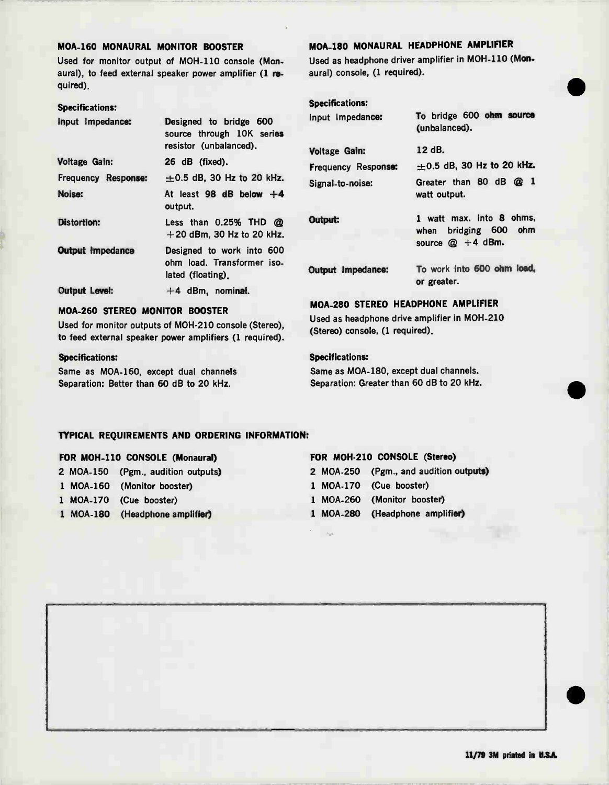### MOA-160 MONAURAL MONITOR BOOSTER

Used for monitor output of MOH-110 console (Monaural), to feed external speaker power amplifier (1 required).

### Specifications:

| Input Impedance:        | Designed to bridge 600<br>source through 10K series<br>resistor (unbalanced). |
|-------------------------|-------------------------------------------------------------------------------|
| <b>Voltage Gain:</b>    | 26 dB (fixed).                                                                |
| Frequency Response:     | $\pm 0.5$ dB, 30 Hz to 20 kHz.                                                |
| Noise:                  | At least 98 dB below $+4$<br>output.                                          |
| <b>Distortion:</b>      | Less than $0.25\%$ THD $@$<br>$+20$ dBm, 30 Hz to 20 kHz.                     |
| <b>Output Impedance</b> | Designed to work into 600<br>ohm load. Transformer iso-<br>lated (floating).  |
| <b>Output Level:</b>    | $+4$ dBm, nominal.                                                            |

## MOA-260 STEREO MONITOR BOOSTER

Used for monitor outputs of MOH-210 console (Stereo), to feed external speaker power amplifiers (1 required).

## Specifications:

Same as MOA-160, except dual channels Separation: Better than 60 dB to 20 kHz.

## MOA-180 MONAURAL HEADPHONE AMPLIFIER

Used as headphone driver amplifier in MOH-110 (Monaural) console, (1 required).

## Specifications:

| Input Impedance:     | 10 Drigge over chair source<br>(unbalanced).                                |
|----------------------|-----------------------------------------------------------------------------|
| <b>Voltage Gain:</b> | 12 dB.                                                                      |
| Frequency Response:  | $\pm 0.5$ dB, 30 Hz to 20 kHz.                                              |
| Signal-to-noise:     | Greater than 80 dB @ 1<br>watt output.                                      |
| Output:              | 1 watt max. into 8 ohms.<br>bridging 600 ohm<br>when<br>source $@ + 4$ dBm. |
| Output Impedance:    | To work into 600 ohm load,<br>or greater.                                   |
|                      |                                                                             |

## MOA-280 STEREO HEADPHONE AMPLIFIER

Used as headphone drive amplifier in MOH-210 (Stereo) console, (1 required).

## Specifications:

 $\sim$ 

Same as MOA-180, except dual channels. Separation: Greater than 60 dB to 20 kHz.

## TYPICAL REQUIREMENTS AND ORDERING INFORMATION:

### FOR MOH-110 CONSOLE (Monaural)

|  | 2 MOA-150 (Pgm., audition outputs) |
|--|------------------------------------|
|  | 1 MOA-160 (Monitor booster)        |

## 1 MOA-170 (Cue booster)

1 MOA-180 (Headphone amplifier)

### FOR MOH-210 CONSOLE (Stereo)

|  | 2 MOA-250 (Pgm., and audition outputs) |
|--|----------------------------------------|
|  | 1 MOA-170 (Cue booster)                |
|  | 1 MOA-260 (Monitor booster)            |
|  | 1 MOA-280 (Headphone amplifier)        |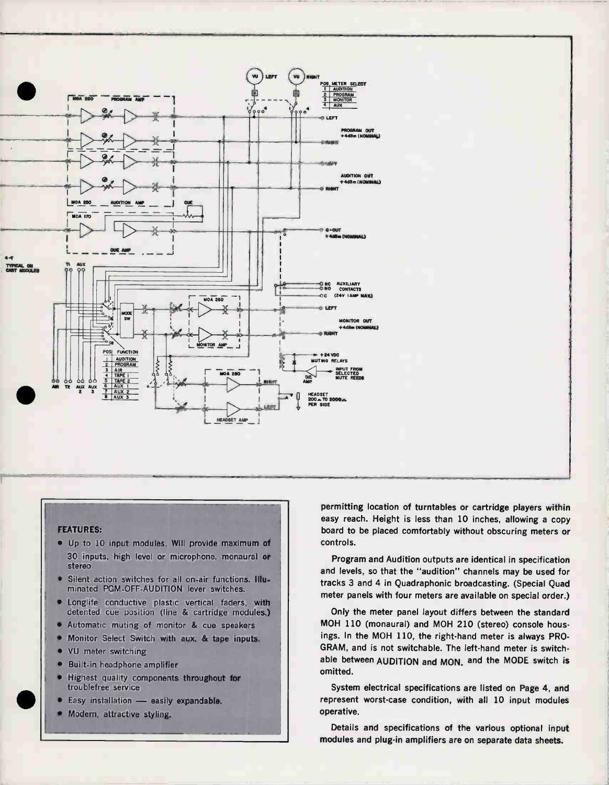

## **FFATURES:**

- · Up to 10 input modules. Will provide maximum of 30 inputs, high level or microphone, monaural or stereo.
- Silent action switches for all on-air functions. Illuminated PGM-OFF-AUDITION lever switches.
- Longlife conductive plastic vertical faders, with detented cue position (line & cartridge modules.)
- Automatic muting of monitor & cue speakers
- Monitor Select Switch with aux. & tape inputs.
- VU meter switching
- $\bullet$ Built-in headphone amplifier
- Highest quality components throughout for × troublefree service
- Easy installation easily expandable.
- Modern, attractive styling.

permitting location of turntables or cartridge players within easy reach. Height is less than 10 inches, allowing a copy board to be placed comfortably without obscuring meters or controls.

Program and Audition outputs are identical in specification and levels, so that the "audition" channels may be used for tracks 3 and 4 in Quadraphonic broadcasting. (Special Quad meter panels with four meters are available on special order.)

Only the meter panel layout differs between the standard MOH 110 (monaural) and MOH 210 (stereo) console housings. In the MOH 110, the right-hand meter is always PRO-GRAM, and is not switchable. The left-hand meter is switchable between AUDITION and MON, and the MODE switch is omitted.

System electrical specifications are listed on Page 4, and represent worst-case condition, with all 10 input modules operative.

Details and specifications of the various optional input modules and plug-in amplifiers are on separate data sheets.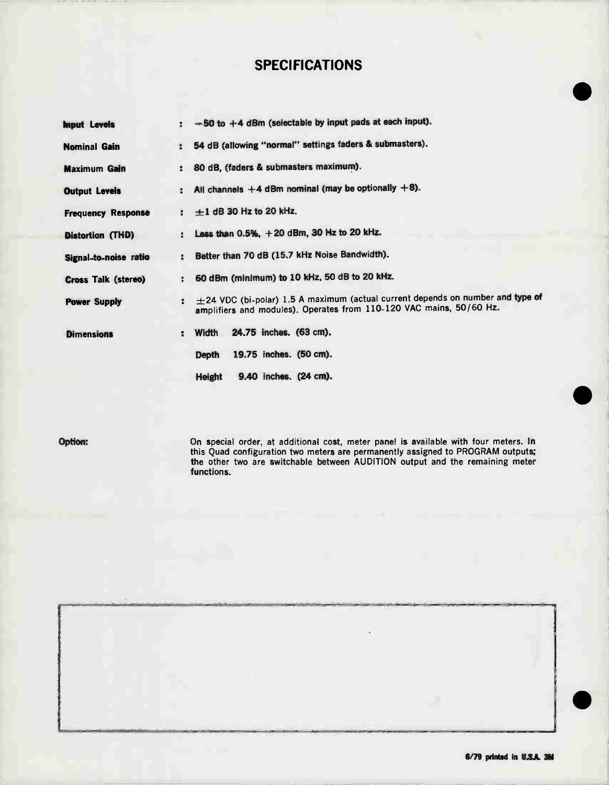## SPECIFICATIONS

| <b>Input Levels</b>        | $-50$ to $+4$ dBm (selectable by input pads at each input).                                                                                                     |
|----------------------------|-----------------------------------------------------------------------------------------------------------------------------------------------------------------|
| <b>Nominal Gain</b>        | 54 dB (allowing "normal" settings faders & submasters).                                                                                                         |
| <b>Maximum Gain</b>        | 80 dB, (faders & submasters maximum).                                                                                                                           |
| <b>Output Levels</b>       | All channels $+4$ dBm nominal (may be optionally $+8$ ).                                                                                                        |
| <b>Frequency Response</b>  | $\pm 1$ dB 30 Hz to 20 kHz.<br>$\ddot{\phantom{a}}$                                                                                                             |
| Distortion (THD)           | Less than $0.5\%$ , $+20$ dBm, 30 Hz to 20 kHz.<br>÷.                                                                                                           |
| Signal-to-noise ratio      | Better than 70 dB (15.7 kHz Noise Bandwidth).<br>$\ddot{\phantom{a}}$                                                                                           |
| <b>Cross Talk (stereo)</b> | 60 dBm (minimum) to 10 kHz, 50 dB to 20 kHz.<br>$\mathbf{r}$                                                                                                    |
| <b>Power Supply</b>        | $\pm$ 24 VDC (bi-polar) 1.5 A maximum (actual current depends on number and type of<br>÷<br>amplifiers and modules). Operates from 110-120 VAC mains, 50/60 Hz. |
| <b>Dimensions</b>          | 24.75 inches. (63 cm).<br>Width<br>÷                                                                                                                            |
|                            | 19.75 inches. (50 cm).<br>Depth                                                                                                                                 |
|                            | 9.40 inches. (24 cm).<br>Height                                                                                                                                 |

Option: On special order, at additional cost, meter panel is available with four meters. In this Quad configuration two meters are permanently assigned to PROGRAM outputs; the other two are switchable between AUDITION output and the remaining meter functions.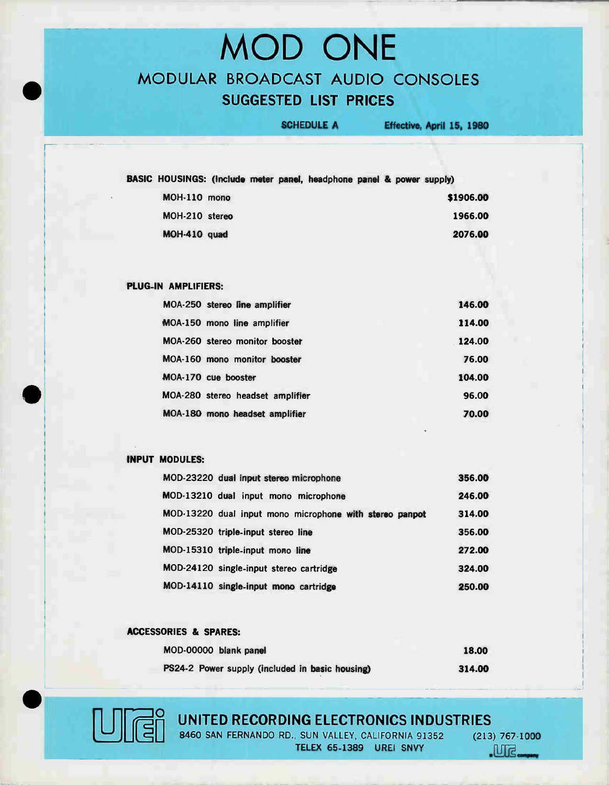# MOD ONE MODULAR BROADCAST AUDIO CONSOLES SUGGESTED LIST PRICES

SCHEDULE A Effective, April 15, 1980

| BASIC HOUSINGS: (Include meter panel, headphone panel & power supply) |  |  |  |  |           |
|-----------------------------------------------------------------------|--|--|--|--|-----------|
| MOH-110 mono                                                          |  |  |  |  | \$1906.00 |
| MOH-210 stereo                                                        |  |  |  |  | 1966.00   |
| MOH-410 quad                                                          |  |  |  |  | 2076.00   |
|                                                                       |  |  |  |  |           |

## PLUG-IN AMPLIFIERS:

| MOA-250 stereo line amplifier    | 146.00 |
|----------------------------------|--------|
| MOA-150 mono line amplifier      | 114.00 |
| MOA-260 stereo monitor booster   | 124.00 |
| MOA-160 mono monitor booster     | 76.00  |
| MOA-170 cue booster              | 104.00 |
| MOA-280 stereo headset amplifier | 96.00  |
| MOA-180 mono headset amplifier   | 70.00  |

## INPUT MODULES:

| MOD-23220 dual input stereo microphone                  | 356.00 |
|---------------------------------------------------------|--------|
| MOD-13210 dual input mono microphone                    | 246.00 |
| MOD-13220 dual input mono microphone with stereo panpot | 314.00 |
| MOD-25320 triple-input stereo line                      | 356.00 |
| MOD-15310 triple-input mono line                        | 272.00 |
| MOD-24120 single-input stereo cartridge                 | 324.00 |
| MOD-14110 single-input mono cartridge                   | 250.00 |

## ACCESSORIES & SPARES:

| MOD-00000 blank panel                           | 18.00  |
|-------------------------------------------------|--------|
| PS24-2 Power supply (included in basic housing) | 314.00 |

# sor e

## UNITED RECORDING ELECTRONICS INDUSTRIES

8460 SAN FERNANDO RD., SUN VALLEY, CALIFORNIA 91352 TELEX 65-1389 UREI SNVY

 $(213) 767.1000$  $M<sub>g</sub>$